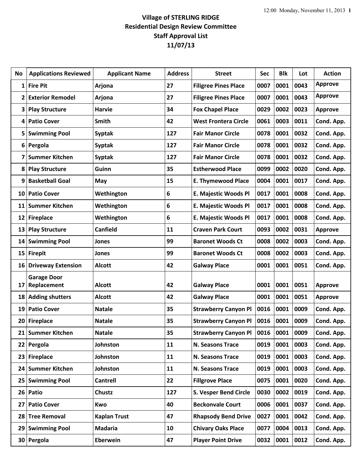## **Village of STERLING RIDGE Residential Design Review Committee Staff Approval List 11/07/13**

| No                      | <b>Applications Reviewed</b> | <b>Applicant Name</b> | <b>Address</b> | <b>Street</b>                             | Sec  | <b>Blk</b> | Lot  | <b>Action</b>  |
|-------------------------|------------------------------|-----------------------|----------------|-------------------------------------------|------|------------|------|----------------|
| 1                       | <b>Fire Pit</b>              | Arjona                | 27             | <b>Filigree Pines Place</b>               | 0007 | 0001       | 0043 | <b>Approve</b> |
| 2                       | <b>Exterior Remodel</b>      | Arjona                | 27             | <b>Filigree Pines Place</b>               | 0007 | 0001       | 0043 | <b>Approve</b> |
| 3                       | <b>Play Structure</b>        | <b>Harvie</b>         | 34             | <b>Fox Chapel Place</b>                   | 0029 | 0002       | 0023 | <b>Approve</b> |
| 4                       | <b>Patio Cover</b>           | <b>Smith</b>          | 42             | <b>West Frontera Circle</b>               | 0061 | 0003       | 0011 | Cond. App.     |
| 5                       | <b>Swimming Pool</b>         | <b>Syptak</b>         | 127            | <b>Fair Manor Circle</b>                  | 0078 | 0001       | 0032 | Cond. App.     |
| 6                       | Pergola                      | <b>Syptak</b>         | 127            | <b>Fair Manor Circle</b>                  | 0078 | 0001       | 0032 | Cond. App.     |
| $\overline{\mathbf{z}}$ | <b>Summer Kitchen</b>        | <b>Syptak</b>         | 127            | <b>Fair Manor Circle</b>                  | 0078 | 0001       | 0032 | Cond. App.     |
| 8                       | <b>Play Structure</b>        | Guinn                 | 35             | <b>Estherwood Place</b>                   | 0099 | 0002       | 0020 | Cond. App.     |
| 9                       | <b>Basketball Goal</b>       | May                   | 15             | <b>E. Thymewood Place</b>                 | 0004 | 0001       | 0017 | Cond. App.     |
| 10                      | <b>Patio Cover</b>           | Wethington            | 6              | E. Majestic Woods Pl                      | 0017 | 0001       | 0008 | Cond. App.     |
| 11                      | <b>Summer Kitchen</b>        | Wethington            | 6              | E. Majestic Woods Pl                      | 0017 | 0001       | 0008 | Cond. App.     |
| 12                      | <b>Fireplace</b>             | Wethington            | 6              | E. Majestic Woods Pl                      | 0017 | 0001       | 0008 | Cond. App.     |
| 13                      | <b>Play Structure</b>        | <b>Canfield</b>       | 11             | <b>Craven Park Court</b>                  | 0093 | 0002       | 0031 | <b>Approve</b> |
| 14                      | <b>Swimming Pool</b>         | Jones                 | 99             | <b>Baronet Woods Ct</b>                   | 0008 | 0002       | 0003 | Cond. App.     |
| 15                      | <b>Firepit</b>               | Jones                 | 99             | <b>Baronet Woods Ct</b>                   | 0008 | 0002       | 0003 | Cond. App.     |
| 16                      | <b>Driveway Extension</b>    | <b>Alcott</b>         | 42             | <b>Galway Place</b>                       | 0001 | 0001       | 0051 | Cond. App.     |
|                         | <b>Garage Door</b>           |                       |                |                                           |      |            |      |                |
| 17                      | Replacement                  | <b>Alcott</b>         | 42             | <b>Galway Place</b>                       | 0001 | 0001       | 0051 | <b>Approve</b> |
| 18                      | <b>Adding shutters</b>       | <b>Alcott</b>         | 42             | <b>Galway Place</b>                       | 0001 | 0001       | 0051 | <b>Approve</b> |
| 19                      | <b>Patio Cover</b>           | <b>Natale</b>         | 35             | <b>Strawberry Canyon Pl</b>               | 0016 | 0001       | 0009 | Cond. App.     |
| 20                      | <b>Fireplace</b>             | <b>Natale</b>         | 35             | <b>Strawberry Canyon Pl</b>               | 0016 | 0001       | 0009 | Cond. App.     |
|                         | 21 Summer Kitchen            | <b>Natale</b>         | 35             | Strawberry Canyon PI   0016   0001   0009 |      |            |      | Cond. App.     |
|                         | 22 Pergola                   | Johnston              | 11             | N. Seasons Trace                          | 0019 | 0001       | 0003 | Cond. App.     |
| 23                      | <b>Fireplace</b>             | Johnston              | 11             | N. Seasons Trace                          | 0019 | 0001       | 0003 | Cond. App.     |
| 24 <sub>1</sub>         | <b>Summer Kitchen</b>        | Johnston              | 11             | N. Seasons Trace                          | 0019 | 0001       | 0003 | Cond. App.     |
| 25                      | <b>Swimming Pool</b>         | <b>Cantrell</b>       | 22             | <b>Fillgrove Place</b>                    | 0075 | 0001       | 0020 | Cond. App.     |
| 26                      | Patio                        | <b>Chustz</b>         | 127            | <b>S. Vesper Bend Circle</b>              | 0030 | 0002       | 0019 | Cond. App.     |
| 27                      | <b>Patio Cover</b>           | Kwo                   | 40             | <b>Beckonvale Court</b>                   | 0006 | 0001       | 0037 | Cond. App.     |
| 28                      | <b>Tree Removal</b>          | <b>Kaplan Trust</b>   | 47             | <b>Rhapsody Bend Drive</b>                | 0027 | 0001       | 0042 | Cond. App.     |
| 29                      | <b>Swimming Pool</b>         | <b>Madaria</b>        | 10             | <b>Chivary Oaks Place</b>                 | 0077 | 0004       | 0013 | Cond. App.     |
| 30 <sup>°</sup>         | Pergola                      | Eberwein              | 47             | <b>Player Point Drive</b>                 | 0032 | 0001       | 0012 | Cond. App.     |